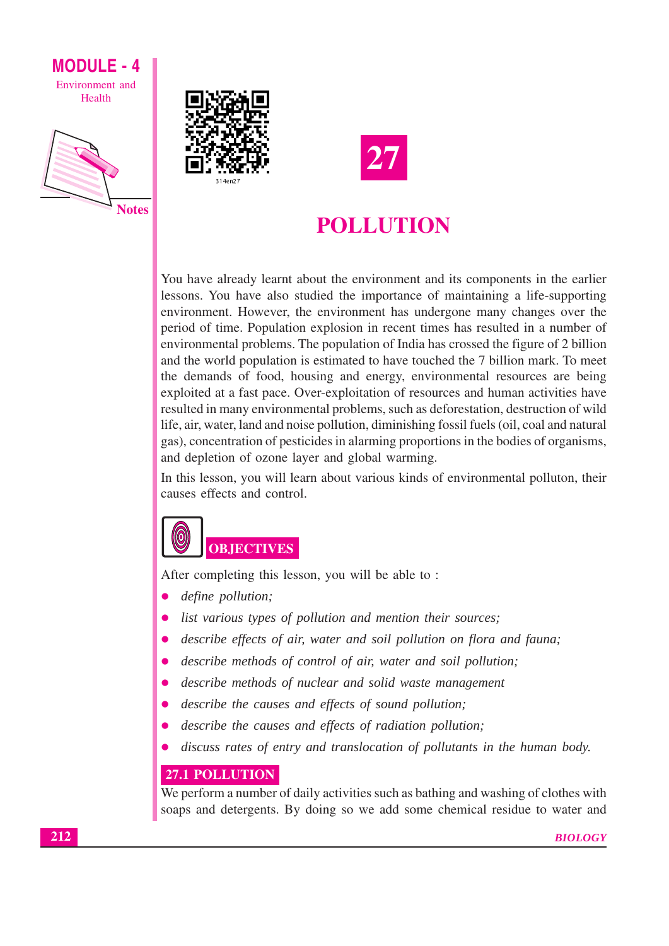







### POLLUTION

You have already learnt about the environment and its components in the earlier lessons. You have also studied the importance of maintaining a life-supporting environment. However, the environment has undergone many changes over the period of time. Population explosion in recent times has resulted in a number of environmental problems. The population of India has crossed the figure of 2 billion and the world population is estimated to have touched the 7 billion mark. To meet the demands of food, housing and energy, environmental resources are being exploited at a fast pace. Over-exploitation of resources and human activities have resulted in many environmental problems, such as deforestation, destruction of wild life, air, water, land and noise pollution, diminishing fossil fuels (oil, coal and natural gas), concentration of pesticides in alarming proportions in the bodies of organisms, and depletion of ozone layer and global warming.

In this lesson, you will learn about various kinds of environmental polluton, their causes effects and control.

## **OBJECTIVES**

After completing this lesson, you will be able to:

- define pollution:
- list various types of pollution and mention their sources;
- describe effects of air, water and soil pollution on flora and fauna;
- describe methods of control of air, water and soil pollution;  $\bullet$
- describe methods of nuclear and solid waste management
- describe the causes and effects of sound pollution;  $\bullet$
- describe the causes and effects of radiation pollution;
- discuss rates of entry and translocation of pollutants in the human body.

### 27.1 POLLUTION

We perform a number of daily activities such as bathing and washing of clothes with soaps and detergents. By doing so we add some chemical residue to water and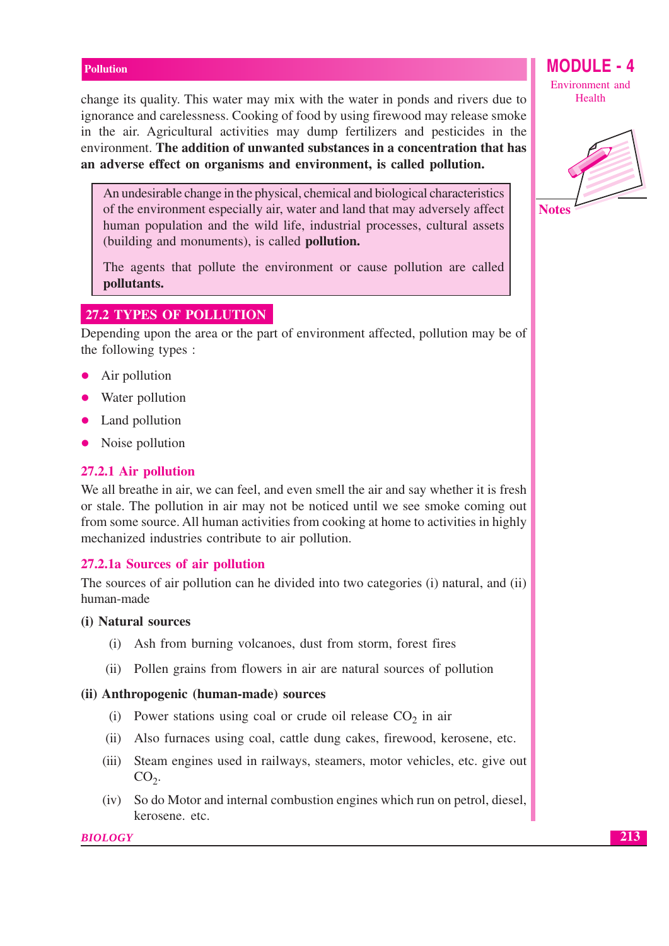change its quality. This water may mix with the water in ponds and rivers due to ignorance and carelessness. Cooking of food by using firewood may release smoke in the air. Agricultural activities may dump fertilizers and pesticides in the environment. The addition of unwanted substances in a concentration that has an adverse effect on organisms and environment, is called pollution.

An undesirable change in the physical, chemical and biological characteristics of the environment especially air, water and land that may adversely affect human population and the wild life, industrial processes, cultural assets (building and monuments), is called **pollution.** 

The agents that pollute the environment or cause pollution are called pollutants.

### **27.2 TYPES OF POLLUTION**

Depending upon the area or the part of environment affected, pollution may be of the following types :

- Air pollution
- Water pollution
- Land pollution
- Noise pollution

### 27.2.1 Air pollution

We all breathe in air, we can feel, and even smell the air and say whether it is fresh or stale. The pollution in air may not be noticed until we see smoke coming out from some source. All human activities from cooking at home to activities in highly mechanized industries contribute to air pollution.

### 27.2.1a Sources of air pollution

The sources of air pollution can be divided into two categories (i) natural, and (ii) human-made

### (i) Natural sources

- (i) Ash from burning volcanoes, dust from storm, forest fires
- (ii) Pollen grains from flowers in air are natural sources of pollution

### (ii) Anthropogenic (human-made) sources

- (i) Power stations using coal or crude oil release  $CO<sub>2</sub>$  in air
- (ii) Also furnaces using coal, cattle dung cakes, firewood, kerosene, etc.
- (iii) Steam engines used in railways, steamers, motor vehicles, etc. give out  $CO<sub>2</sub>$ .
- (iv) So do Motor and internal combustion engines which run on petrol, diesel, kerosene. etc.

#### **BIOLOGY**

**MODULE - 4** Environment and Health

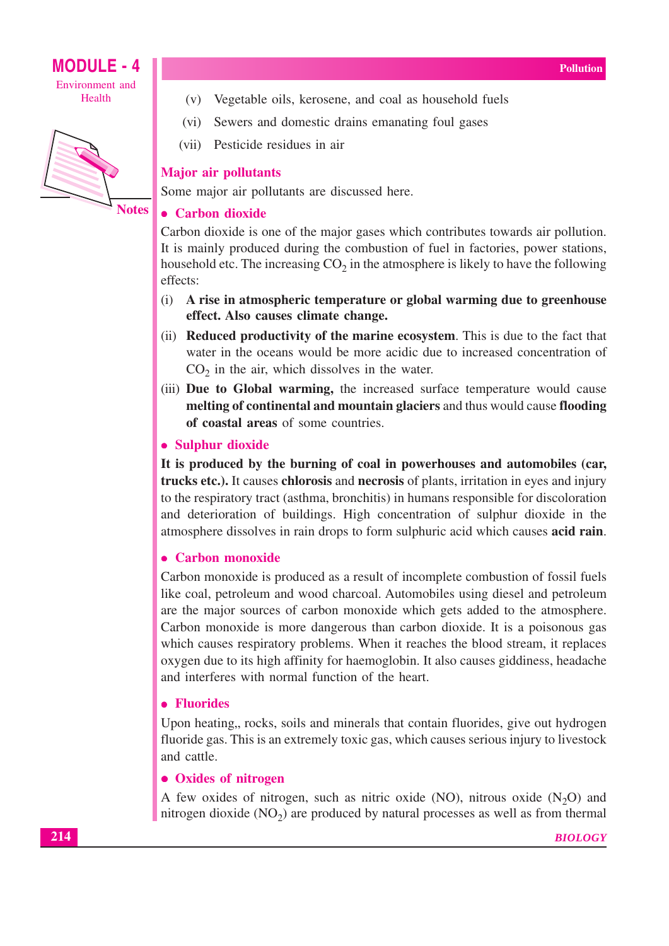





**Notes** 

### (v) Vegetable oils, kerosene, and coal as household fuels

- Sewers and domestic drains emanating foul gases  $(vi)$
- (vii) Pesticide residues in air

### **Major air pollutants**

Some major air pollutants are discussed here.

### • Carbon dioxide

Carbon dioxide is one of the major gases which contributes towards air pollution. It is mainly produced during the combustion of fuel in factories, power stations, household etc. The increasing  $CO<sub>2</sub>$  in the atmosphere is likely to have the following effects:

- $(i)$ A rise in atmospheric temperature or global warming due to greenhouse effect. Also causes climate change.
- (ii) **Reduced productivity of the marine ecosystem**. This is due to the fact that water in the oceans would be more acidic due to increased concentration of  $CO<sub>2</sub>$  in the air, which dissolves in the water.
- (iii) Due to Global warming, the increased surface temperature would cause melting of continental and mountain glaciers and thus would cause flooding of coastal areas of some countries.

### • Sulphur dioxide

It is produced by the burning of coal in powerhouses and automobiles (car, trucks etc.). It causes chlorosis and necrosis of plants, irritation in eyes and injury to the respiratory tract (asthma, bronchitis) in humans responsible for discoloration and deterioration of buildings. High concentration of sulphur dioxide in the atmosphere dissolves in rain drops to form sulphuric acid which causes acid rain.

### • Carbon monoxide

Carbon monoxide is produced as a result of incomplete combustion of fossil fuels like coal, petroleum and wood charcoal. Automobiles using diesel and petroleum are the major sources of carbon monoxide which gets added to the atmosphere. Carbon monoxide is more dangerous than carbon dioxide. It is a poisonous gas which causes respiratory problems. When it reaches the blood stream, it replaces oxygen due to its high affinity for haemoglobin. It also causes giddiness, headache and interferes with normal function of the heart.

### • Fluorides

Upon heating, rocks, soils and minerals that contain fluorides, give out hydrogen fluoride gas. This is an extremely toxic gas, which causes serious injury to livestock and cattle.

### • Oxides of nitrogen

A few oxides of nitrogen, such as nitric oxide (NO), nitrous oxide  $(N<sub>2</sub>O)$  and nitrogen dioxide  $(NO<sub>2</sub>)$  are produced by natural processes as well as from thermal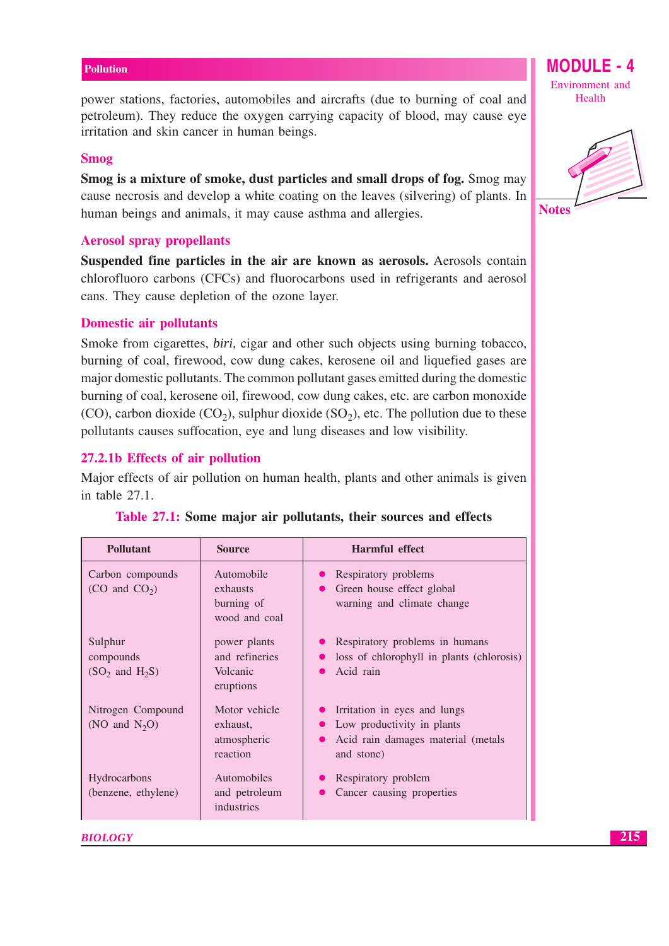power stations, factories, automobiles and aircrafts (due to burning of coal and petroleum). They reduce the oxygen carrying capacity of blood, may cause eye irritation and skin cancer in human beings.

### **Smog**

Smog is a mixture of smoke, dust particles and small drops of fog. Smog may cause necrosis and develop a white coating on the leaves (silvering) of plants. In human beings and animals, it may cause asthma and allergies.

### **Aerosol spray propellants**

Suspended fine particles in the air are known as aerosols. Aerosols contain chlorofluoro carbons (CFCs) and fluorocarbons used in refrigerants and aerosol cans. They cause depletion of the ozone layer.

### **Domestic air pollutants**

Smoke from cigarettes, *biri*, cigar and other such objects using burning tobacco, burning of coal, firewood, cow dung cakes, kerosene oil and liquefied gases are major domestic pollutants. The common pollutant gases emitted during the domestic burning of coal, kerosene oil, firewood, cow dung cakes, etc. are carbon monoxide (CO), carbon dioxide (CO<sub>2</sub>), sulphur dioxide (SO<sub>2</sub>), etc. The pollution due to these pollutants causes suffocation, eye and lung diseases and low visibility.

### 27.2.1b Effects of air pollution

Major effects of air pollution on human health, plants and other animals is given in table  $27.1$ .

| <b>Pollutant</b>                            | <b>Source</b>                                           | <b>Harmful effect</b>                                                                                          |
|---------------------------------------------|---------------------------------------------------------|----------------------------------------------------------------------------------------------------------------|
| Carbon compounds<br>$(CO \text{ and } CO2)$ | Automobile<br>exhausts<br>burning of<br>wood and coal   | • Respiratory problems<br>Green house effect global<br>warning and climate change                              |
| Sulphur<br>compounds<br>$(SO2$ and $H2S)$   | power plants<br>and refineries<br>Volcanic<br>eruptions | Respiratory problems in humans<br>loss of chlorophyll in plants (chlorosis)<br>Acid rain                       |
| Nitrogen Compound<br>(NO and $N_2O$ )       | Motor vehicle<br>exhaust,<br>atmospheric<br>reaction    | Irritation in eyes and lungs<br>Low productivity in plants<br>Acid rain damages material (metals<br>and stone) |
| Hydrocarbons<br>(benzene, ethylene)         | Automobiles<br>and petroleum<br>industries              | Respiratory problem<br>Cancer causing properties                                                               |

|  |  |  |  |  |  | Table 27.1: Some major air pollutants, their sources and effects |  |  |  |  |
|--|--|--|--|--|--|------------------------------------------------------------------|--|--|--|--|
|--|--|--|--|--|--|------------------------------------------------------------------|--|--|--|--|

**BIOLOGY** 

Environment and Health

**MODULE - 4** 

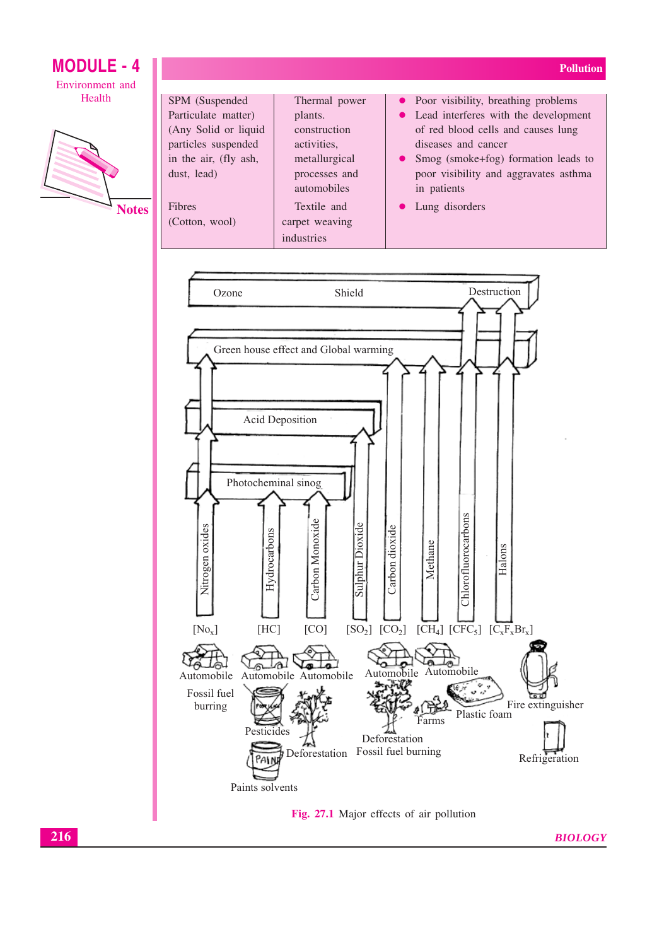



**Notes** 

| SPM (Suspended)       | Thermal power  | • Poor visibility, breathing problems  |
|-----------------------|----------------|----------------------------------------|
| Particulate matter)   | plants.        | • Lead interferes with the development |
| (Any Solid or liquid) | construction   | of red blood cells and causes lung     |
| particles suspended   | activities.    | diseases and cancer                    |
| in the air, (fly ash, | metallurgical  | • Smog (smoke+fog) formation leads to  |
| dust, lead)           | processes and  | poor visibility and aggravates asthma  |
|                       | automobiles    | in patients                            |
| <b>Fibres</b>         | Textile and    | • Lung disorders                       |
| (Cotton, wool)        | carpet weaving |                                        |
|                       | industries     |                                        |





**BIOLOGY** 

**Pollution**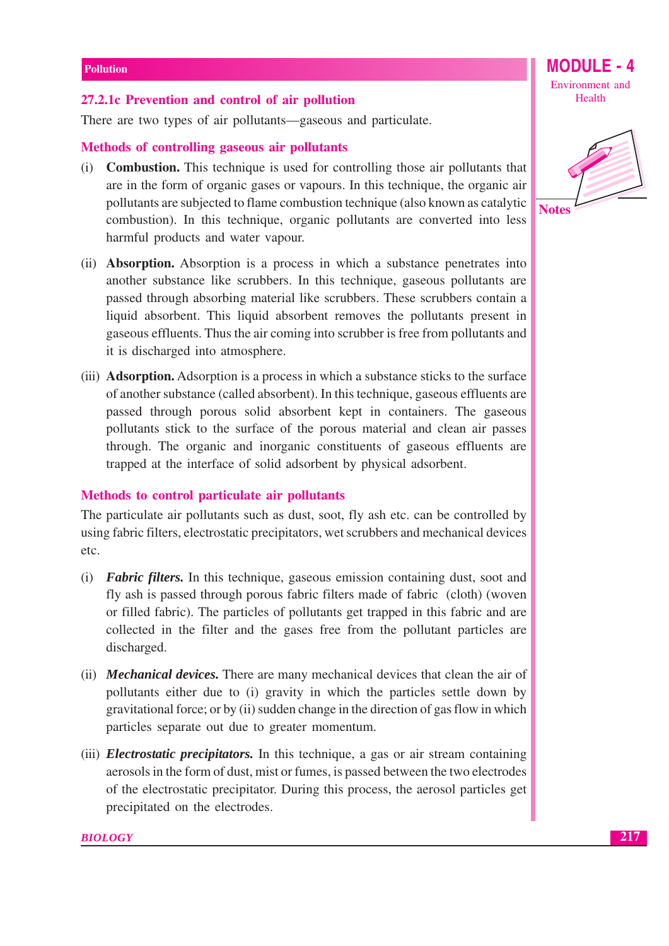### 27.2.1c Prevention and control of air pollution

There are two types of air pollutants—gaseous and particulate.

### Methods of controlling gaseous air pollutants

- (i) **Combustion.** This technique is used for controlling those air pollutants that are in the form of organic gases or vapours. In this technique, the organic air pollutants are subjected to flame combustion technique (also known as catalytic combustion). In this technique, organic pollutants are converted into less harmful products and water vapour.
- (ii) **Absorption.** Absorption is a process in which a substance penetrates into another substance like scrubbers. In this technique, gaseous pollutants are passed through absorbing material like scrubbers. These scrubbers contain a liquid absorbent. This liquid absorbent removes the pollutants present in gaseous effluents. Thus the air coming into scrubber is free from pollutants and it is discharged into atmosphere.
- (iii) **Adsorption.** Adsorption is a process in which a substance sticks to the surface of another substance (called absorbent). In this technique, gaseous effluents are passed through porous solid absorbent kept in containers. The gaseous pollutants stick to the surface of the porous material and clean air passes through. The organic and inorganic constituents of gaseous effluents are trapped at the interface of solid adsorbent by physical adsorbent.

### Methods to control particulate air pollutants

The particulate air pollutants such as dust, soot, fly ash etc. can be controlled by using fabric filters, electrostatic precipitators, wet scrubbers and mechanical devices etc.

- (i) **Fabric filters.** In this technique, gaseous emission containing dust, soot and fly ash is passed through porous fabric filters made of fabric (cloth) (woven or filled fabric). The particles of pollutants get trapped in this fabric and are collected in the filter and the gases free from the pollutant particles are discharged.
- (ii) **Mechanical devices.** There are many mechanical devices that clean the air of pollutants either due to (i) gravity in which the particles settle down by gravitational force; or by (ii) sudden change in the direction of gas flow in which particles separate out due to greater momentum.
- (iii) *Electrostatic precipitators*. In this technique, a gas or air stream containing aerosols in the form of dust, mist or fumes, is passed between the two electrodes of the electrostatic precipitator. During this process, the aerosol particles get precipitated on the electrodes.



**MODULE - 4** 

Environment and Health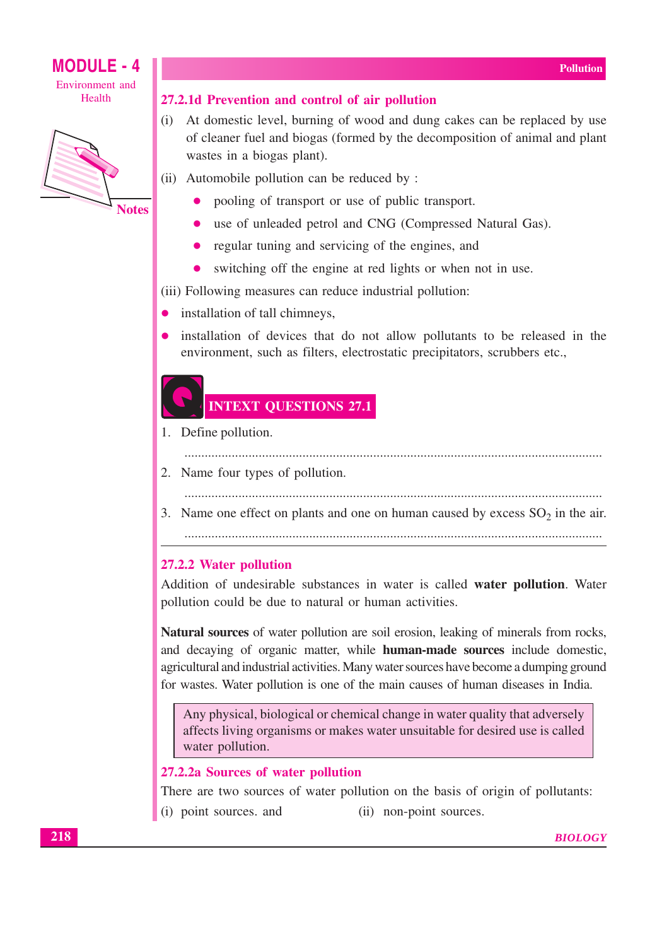

**Notes** 

**MODULE - 4** 

### 27.2.1d Prevention and control of air pollution

- (i) At domestic level, burning of wood and dung cakes can be replaced by use of cleaner fuel and biogas (formed by the decomposition of animal and plant wastes in a biogas plant).
- (ii) Automobile pollution can be reduced by:
	- pooling of transport or use of public transport.
	- use of unleaded petrol and CNG (Compressed Natural Gas).
	- regular tuning and servicing of the engines, and
	- switching off the engine at red lights or when not in use.

(iii) Following measures can reduce industrial pollution:

- installation of tall chimneys,
- installation of devices that do not allow pollutants to be released in the environment, such as filters, electrostatic precipitators, scrubbers etc.,

### **INTEXT QUESTIONS 27.1**

- 1. Define pollution.
	-
- 2. Name four types of pollution.
- 
- 3. Name one effect on plants and one on human caused by excess  $SO_2$  in the air.

### 27.2.2 Water pollution

Addition of undesirable substances in water is called water pollution. Water pollution could be due to natural or human activities.

Natural sources of water pollution are soil erosion, leaking of minerals from rocks, and decaying of organic matter, while **human-made sources** include domestic, agricultural and industrial activities. Many water sources have become a dumping ground for wastes. Water pollution is one of the main causes of human diseases in India.

Any physical, biological or chemical change in water quality that adversely affects living organisms or makes water unsuitable for desired use is called water pollution.

27.2.2a Sources of water pollution

There are two sources of water pollution on the basis of origin of pollutants:

(i) point sources. and (ii) non-point sources.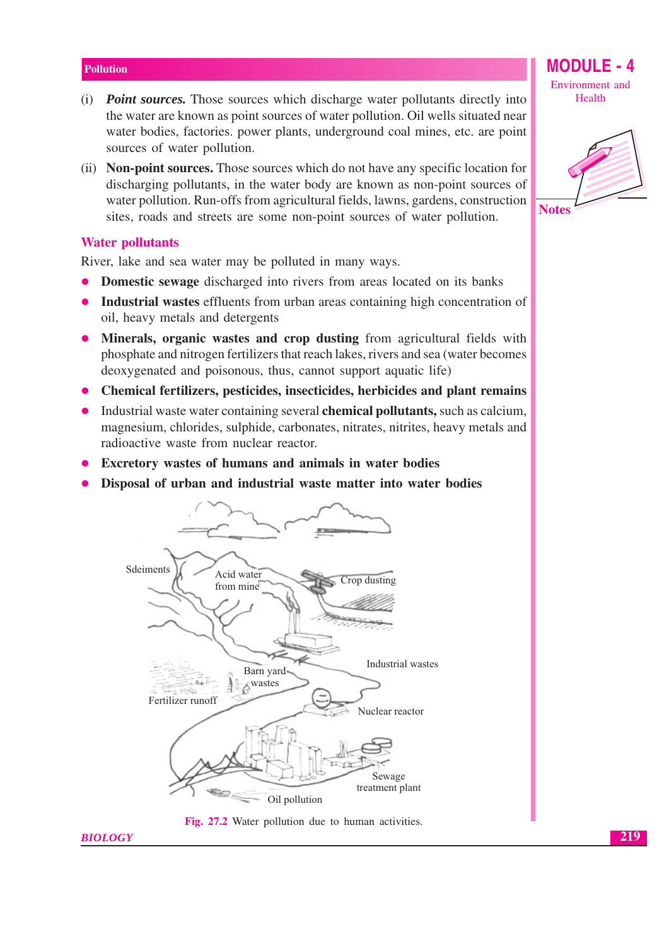- (i) **Point sources.** Those sources which discharge water pollutants directly into the water are known as point sources of water pollution. Oil wells situated near water bodies, factories, power plants, underground coal mines, etc. are point sources of water pollution.
- (ii) **Non-point sources.** Those sources which do not have any specific location for discharging pollutants, in the water body are known as non-point sources of water pollution. Run-offs from agricultural fields, lawns, gardens, construction sites, roads and streets are some non-point sources of water pollution.

### **Water pollutants**

**BIOLOGY** 

River, lake and sea water may be polluted in many ways.

- **Domestic sewage** discharged into rivers from areas located on its banks
- **Industrial wastes** effluents from urban areas containing high concentration of  $\bullet$ oil, heavy metals and detergents
- Minerals, organic wastes and crop dusting from agricultural fields with  $\bullet$ phosphate and nitrogen fertilizers that reach lakes, rivers and sea (water becomes deoxygenated and poisonous, thus, cannot support aquatic life)
- Chemical fertilizers, pesticides, insecticides, herbicides and plant remains
- Industrial waste water containing several chemical pollutants, such as calcium,  $\bullet$ magnesium, chlorides, sulphide, carbonates, nitrates, nitrites, heavy metals and radioactive waste from nuclear reactor.
- Excretory wastes of humans and animals in water bodies
- Disposal of urban and industrial waste matter into water bodies





Environment and Health

**MODULE - 4** 

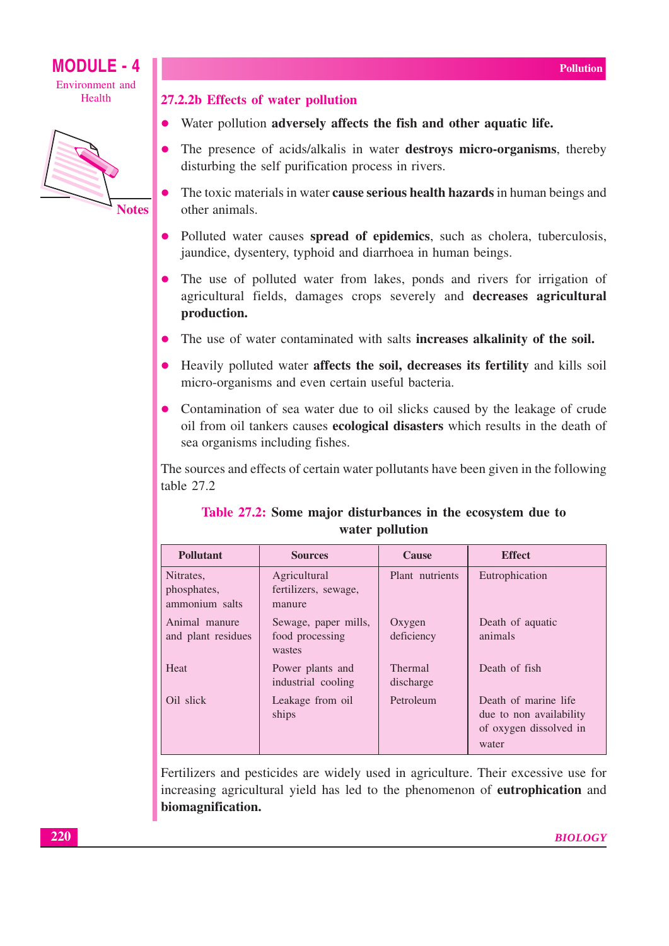



### 27.2.2b Effects of water pollution

- Water pollution adversely affects the fish and other aquatic life.
- The presence of acids/alkalis in water destroys micro-organisms, thereby disturbing the self purification process in rivers.
- The toxic materials in water **cause serious health hazards** in human beings and other animals.
- Polluted water causes spread of epidemics, such as cholera, tuberculosis, jaundice, dysentery, typhoid and diarrhoea in human beings.
- The use of polluted water from lakes, ponds and rivers for irrigation of agricultural fields, damages crops severely and decreases agricultural production.
- The use of water contaminated with salts **increases alkalinity of the soil.**
- Heavily polluted water affects the soil, decreases its fertility and kills soil micro-organisms and even certain useful bacteria.
- Contamination of sea water due to oil slicks caused by the leakage of crude oil from oil tankers causes **ecological disasters** which results in the death of sea organisms including fishes.

The sources and effects of certain water pollutants have been given in the following table 27.2

| <b>Pollutant</b>                           | <b>Sources</b>                                    | <b>Cause</b>         | <b>Effect</b>                                                                      |
|--------------------------------------------|---------------------------------------------------|----------------------|------------------------------------------------------------------------------------|
| Nitrates,<br>phosphates,<br>ammonium salts | Agricultural<br>fertilizers, sewage,<br>manure    | Plant nutrients      | Eutrophication                                                                     |
| Animal manure<br>and plant residues        | Sewage, paper mills,<br>food processing<br>wastes | Oxygen<br>deficiency | Death of aquatic<br>animals                                                        |
| Heat                                       | Power plants and<br>industrial cooling            | Thermal<br>discharge | Death of fish                                                                      |
| Oil slick                                  | Leakage from oil<br>ships                         | Petroleum            | Death of marine life<br>due to non availability<br>of oxygen dissolved in<br>water |

### Table 27.2: Some major disturbances in the ecosystem due to water pollution

Fertilizers and pesticides are widely used in agriculture. Their excessive use for increasing agricultural yield has led to the phenomenon of **eutrophication** and biomagnification.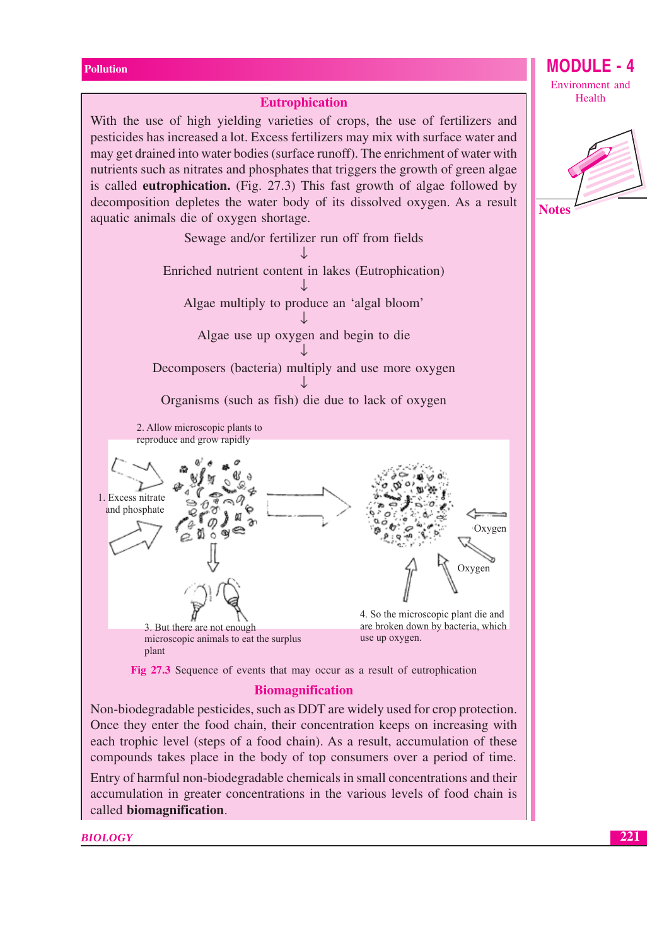### **Eutrophication** With the use of high yielding varieties of crops, the use of fertilizers and pesticides has increased a lot. Excess fertilizers may mix with surface water and may get drained into water bodies (surface runoff). The enrichment of water with nutrients such as nitrates and phosphates that triggers the growth of green algae is called **eutrophication.** (Fig. 27.3) This fast growth of algae followed by decomposition depletes the water body of its dissolved oxygen. As a result aquatic animals die of oxygen shortage. Sewage and/or fertilizer run off from fields Л. Enriched nutrient content in lakes (Eutrophication) Algae multiply to produce an 'algal bloom' Algae use up oxygen and begin to die Decomposers (bacteria) multiply and use more oxygen Organisms (such as fish) die due to lack of oxygen 2. Allow microscopic plants to reproduce and grow rapidly 1. Excess nitrate and phosphate Oxygen Ġ.  $\alpha$ Oxygen 4. So the microscopic plant die and are broken down by bacteria, which 3. But there are not enough use up oxygen. microscopic animals to eat the surplus plant Fig 27.3 Sequence of events that may occur as a result of eutrophication

**Biomagnification** 

Non-biodegradable pesticides, such as DDT are widely used for crop protection. Once they enter the food chain, their concentration keeps on increasing with each trophic level (steps of a food chain). As a result, accumulation of these compounds takes place in the body of top consumers over a period of time.

Entry of harmful non-biodegradable chemicals in small concentrations and their accumulation in greater concentrations in the various levels of food chain is called biomagnification.

**BIOLOGY** 

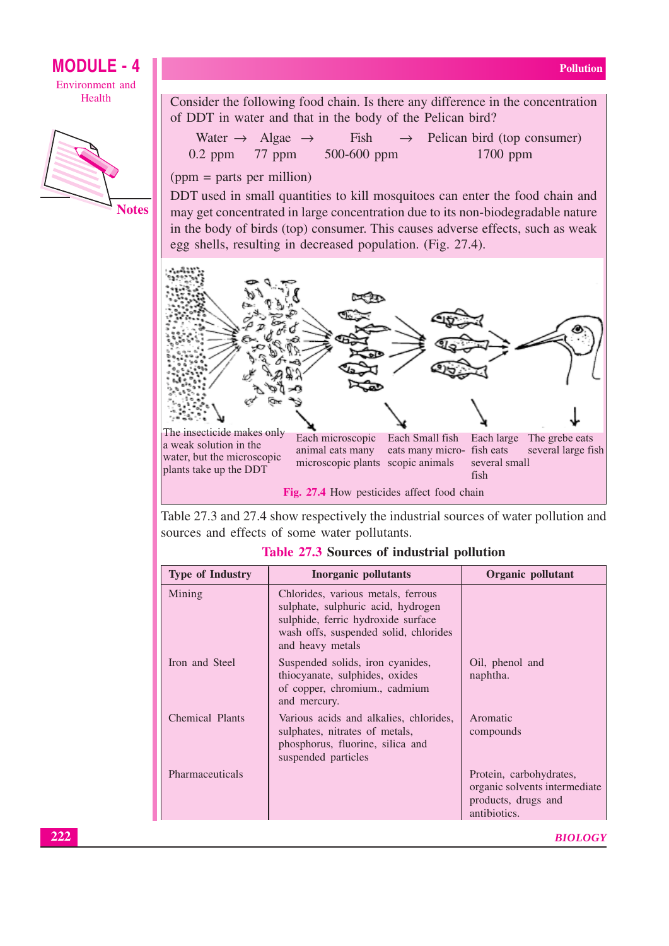### **MODULE - 4** Environment and

Health



Consider the following food chain. Is there any difference in the concentration of DDT in water and that in the body of the Pelican bird?

|                    | Water $\rightarrow$ Algae $\rightarrow$ | Fish            | $\rightarrow$ Pelican bird (top consumer) |
|--------------------|-----------------------------------------|-----------------|-------------------------------------------|
| $0.2$ ppm $77$ ppm |                                         | $500 - 600$ ppm | $1700$ ppm                                |

 $(ppm = parts per million)$ 

DDT used in small quantities to kill mosquitoes can enter the food chain and may get concentrated in large concentration due to its non-biodegradable nature in the body of birds (top) consumer. This causes adverse effects, such as weak egg shells, resulting in decreased population. (Fig. 27.4).



Table 27.3 and 27.4 show respectively the industrial sources of water pollution and sources and effects of some water pollutants.

| <b>Type of Industry</b> | <b>Inorganic pollutants</b>                                                                                                                                                 | Organic pollutant                                                                               |
|-------------------------|-----------------------------------------------------------------------------------------------------------------------------------------------------------------------------|-------------------------------------------------------------------------------------------------|
| Mining                  | Chlorides, various metals, ferrous<br>sulphate, sulphuric acid, hydrogen<br>sulphide, ferric hydroxide surface<br>wash offs, suspended solid, chlorides<br>and heavy metals |                                                                                                 |
| Iron and Steel          | Suspended solids, iron cyanides,<br>thiocyanate, sulphides, oxides<br>of copper, chromium., cadmium<br>and mercury.                                                         | Oil, phenol and<br>naphtha.                                                                     |
| Chemical Plants         | Various acids and alkalies, chlorides,<br>sulphates, nitrates of metals,<br>phosphorus, fluorine, silica and<br>suspended particles                                         | Aromatic<br>compounds                                                                           |
| Pharmaceuticals         |                                                                                                                                                                             | Protein, carbohydrates,<br>organic solvents intermediate<br>products, drugs and<br>antibiotics. |
|                         |                                                                                                                                                                             |                                                                                                 |

Table 27.3 Sources of industrial pollution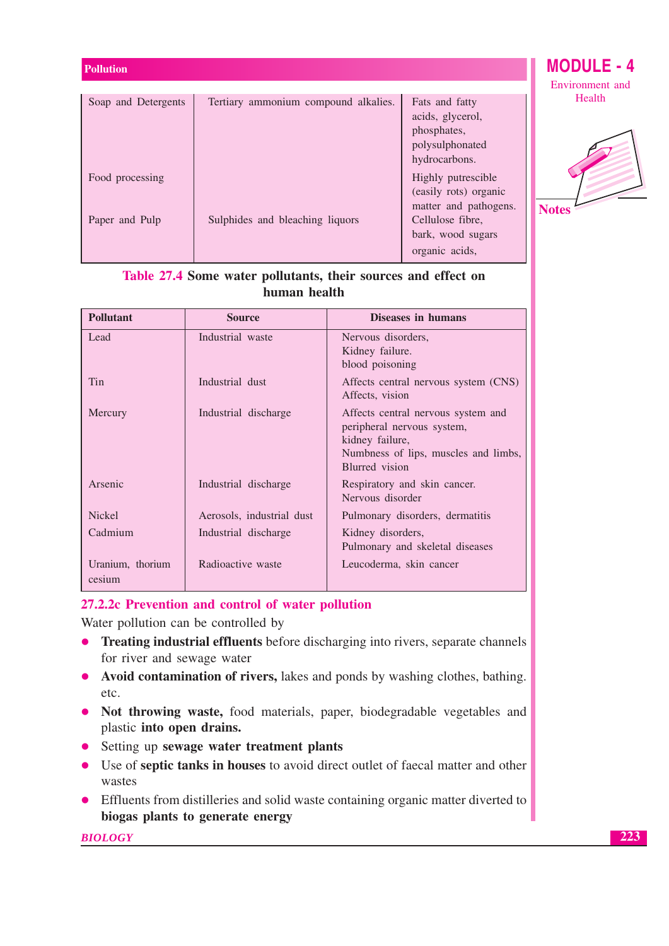| <b>Pollution</b>    |                                      |                                                                      | <b>MODULE</b>         |
|---------------------|--------------------------------------|----------------------------------------------------------------------|-----------------------|
| Soap and Detergents | Tertiary ammonium compound alkalies. | Fats and fatty                                                       | Environment<br>Health |
|                     |                                      | acids, glycerol,<br>phosphates,<br>polysulphonated                   |                       |
|                     |                                      | hydrocarbons.                                                        |                       |
| Food processing     |                                      | Highly putrescible<br>(easily rots) organic<br>matter and pathogens. | <b>Notes</b>          |
| Paper and Pulp      | Sulphides and bleaching liquors      | Cellulose fibre,<br>bark, wood sugars                                |                       |
|                     |                                      | organic acids,                                                       |                       |

### Table 27.4 Some water pollutants, their sources and effect on human health

| <b>Pollutant</b>           | <b>Source</b>             | Diseases in humans                                                                                                                            |
|----------------------------|---------------------------|-----------------------------------------------------------------------------------------------------------------------------------------------|
| Lead                       | Industrial waste          | Nervous disorders,<br>Kidney failure.<br>blood poisoning                                                                                      |
| Tin                        | Industrial dust           | Affects central nervous system (CNS)<br>Affects, vision                                                                                       |
| Mercury                    | Industrial discharge      | Affects central nervous system and<br>peripheral nervous system,<br>kidney failure,<br>Numbness of lips, muscles and limbs,<br>Blurred vision |
| Arsenic                    | Industrial discharge      | Respiratory and skin cancer.<br>Nervous disorder                                                                                              |
| <b>Nickel</b>              | Aerosols, industrial dust | Pulmonary disorders, dermatitis                                                                                                               |
| Cadmium                    | Industrial discharge      | Kidney disorders,<br>Pulmonary and skeletal diseases                                                                                          |
| Uranium, thorium<br>cesium | Radioactive waste         | Leucoderma, skin cancer                                                                                                                       |

### 27.2.2c Prevention and control of water pollution

Water pollution can be controlled by

- Treating industrial effluents before discharging into rivers, separate channels for river and sewage water
- Avoid contamination of rivers, lakes and ponds by washing clothes, bathing. etc.
- Not throwing waste, food materials, paper, biodegradable vegetables and plastic into open drains.
- Setting up sewage water treatment plants
- Use of septic tanks in houses to avoid direct outlet of faecal matter and other wastes
- Effluents from distilleries and solid waste containing organic matter diverted to biogas plants to generate energy

**BIOLOGY** 

- 4 and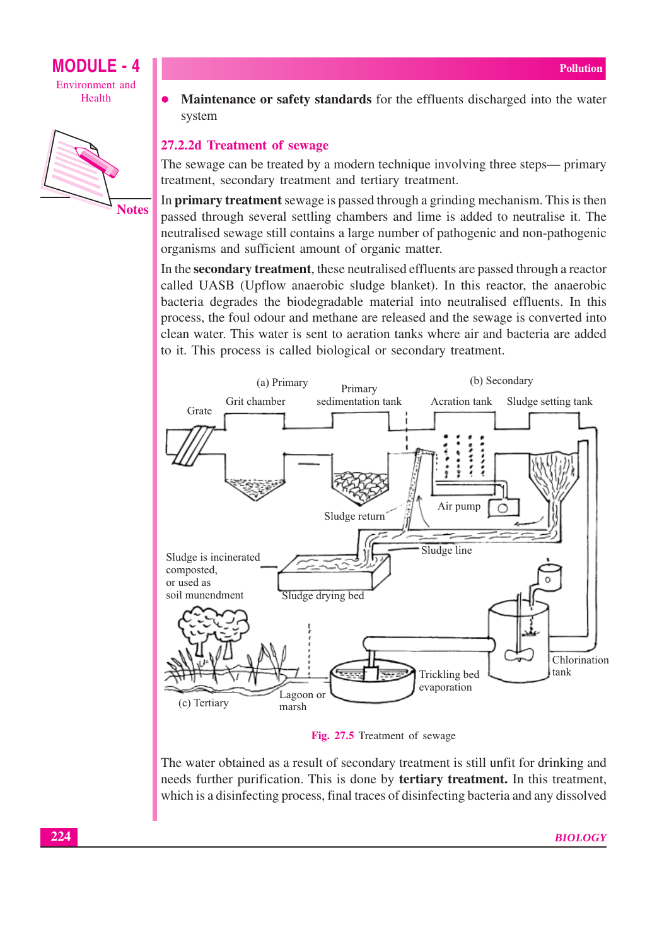



Maintenance or safety standards for the effluents discharged into the water  $\bullet$ system

### 27.2.2d Treatment of sewage

The sewage can be treated by a modern technique involving three steps— primary treatment, secondary treatment and tertiary treatment.

In **primary treatment** sewage is passed through a grinding mechanism. This is then passed through several settling chambers and lime is added to neutralise it. The neutralised sewage still contains a large number of pathogenic and non-pathogenic organisms and sufficient amount of organic matter.

In the **secondary treatment**, these neutralised effluents are passed through a reactor called UASB (Upflow anaerobic sludge blanket). In this reactor, the anaerobic bacteria degrades the biodegradable material into neutralised effluents. In this process, the foul odour and methane are released and the sewage is converted into clean water. This water is sent to aeration tanks where air and bacteria are added to it. This process is called biological or secondary treatment.



Fig. 27.5 Treatment of sewage

The water obtained as a result of secondary treatment is still unfit for drinking and needs further purification. This is done by tertiary treatment. In this treatment, which is a disinfecting process, final traces of disinfecting bacteria and any dissolved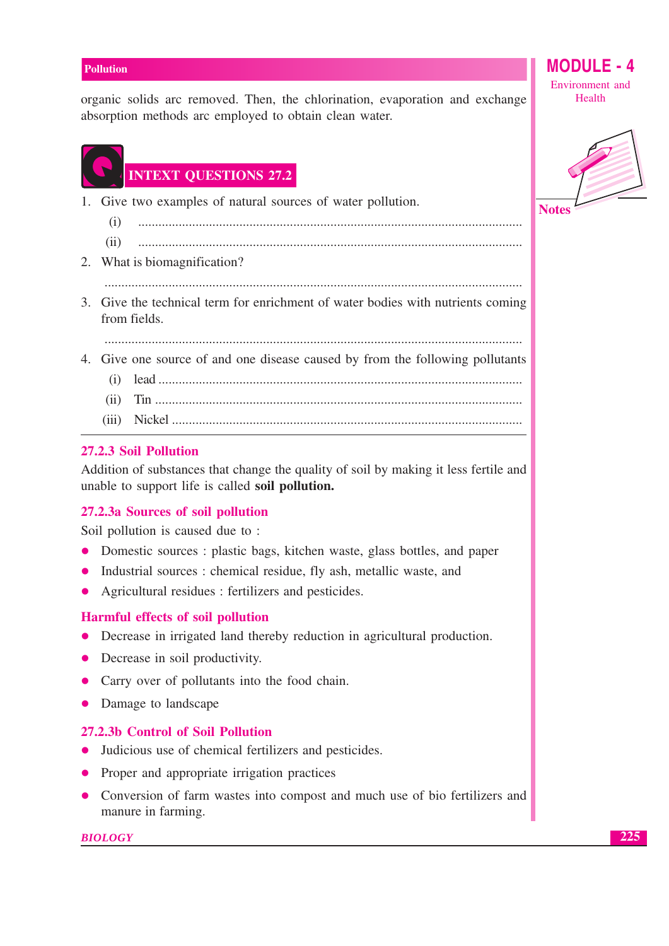organic solids arc removed. Then, the chlorination, evaporation and exchange absorption methods arc employed to obtain clean water.

### **INTEXT QUESTIONS 27.2**

- 1. Give two examples of natural sources of water pollution.
	- $(i)$  $(ii)$
- 2. What is biomagnification?
- 3. Give the technical term for enrichment of water bodies with nutrients coming from fields.

- 4. Give one source of and one disease caused by from the following pollutants
	-
	-

### 27.2.3 Soil Pollution

Addition of substances that change the quality of soil by making it less fertile and unable to support life is called soil pollution.

### 27.2.3a Sources of soil pollution

Soil pollution is caused due to:

- Domestic sources : plastic bags, kitchen waste, glass bottles, and paper  $\bullet$
- Industrial sources: chemical residue, fly ash, metallic waste, and  $\bullet$
- Agricultural residues : fertilizers and pesticides.  $\bullet$

### **Harmful effects of soil pollution**

- Decrease in irrigated land thereby reduction in agricultural production.
- Decrease in soil productivity.
- Carry over of pollutants into the food chain.
- Damage to landscape

### 27.2.3b Control of Soil Pollution

- Judicious use of chemical fertilizers and pesticides.
- Proper and appropriate irrigation practices
- Conversion of farm wastes into compost and much use of bio fertilizers and manure in farming.

### **BIOLOGY**

Environment and Health

**MODULE -**

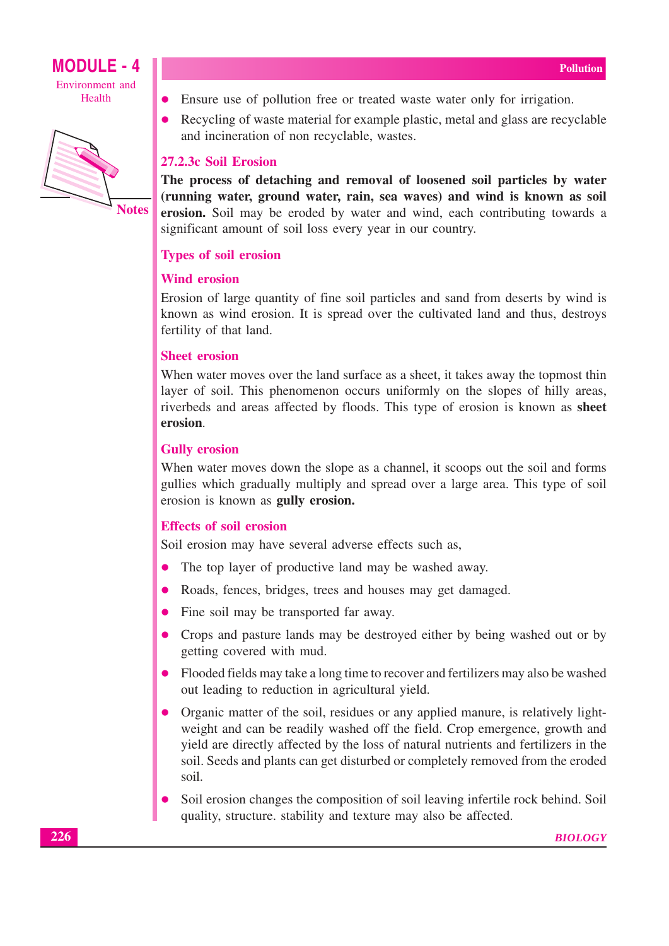



- Ensure use of pollution free or treated waste water only for irrigation.
- Recycling of waste material for example plastic, metal and glass are recyclable and incineration of non recyclable, wastes.

### 27.2.3c Soil Erosion

The process of detaching and removal of loosened soil particles by water (running water, ground water, rain, sea waves) and wind is known as soil erosion. Soil may be eroded by water and wind, each contributing towards a significant amount of soil loss every year in our country.

### **Types of soil erosion**

### **Wind erosion**

Erosion of large quantity of fine soil particles and sand from deserts by wind is known as wind erosion. It is spread over the cultivated land and thus, destroys fertility of that land.

### **Sheet erosion**

When water moves over the land surface as a sheet, it takes away the topmost thin layer of soil. This phenomenon occurs uniformly on the slopes of hilly areas, riverbeds and areas affected by floods. This type of erosion is known as sheet erosion.

### **Gully erosion**

When water moves down the slope as a channel, it scoops out the soil and forms gullies which gradually multiply and spread over a large area. This type of soil erosion is known as **gully erosion.** 

### **Effects of soil erosion**

Soil erosion may have several adverse effects such as,

- The top layer of productive land may be washed away.  $\bullet$
- Roads, fences, bridges, trees and houses may get damaged.  $\bullet$
- Fine soil may be transported far away.  $\bullet$
- Crops and pasture lands may be destroyed either by being washed out or by getting covered with mud.
- Flooded fields may take a long time to recover and fertilizers may also be washed out leading to reduction in agricultural yield.
- Organic matter of the soil, residues or any applied manure, is relatively lightweight and can be readily washed off the field. Crop emergence, growth and yield are directly affected by the loss of natural nutrients and fertilizers in the soil. Seeds and plants can get disturbed or completely removed from the eroded soil.
- Soil erosion changes the composition of soil leaving infertile rock behind. Soil quality, structure. stability and texture may also be affected.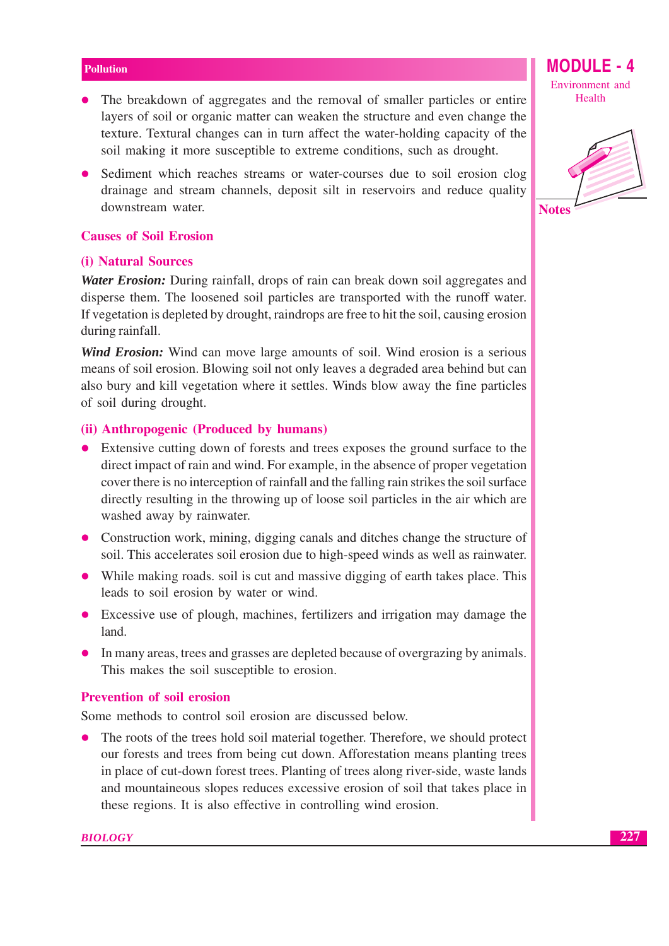- The breakdown of aggregates and the removal of smaller particles or entire layers of soil or organic matter can weaken the structure and even change the texture. Textural changes can in turn affect the water-holding capacity of the soil making it more susceptible to extreme conditions, such as drought.
- Sediment which reaches streams or water-courses due to soil erosion clog drainage and stream channels, deposit silt in reservoirs and reduce quality downstream water.

### **Causes of Soil Erosion**

### (i) Natural Sources

**Water Erosion:** During rainfall, drops of rain can break down soil aggregates and disperse them. The loosened soil particles are transported with the runoff water. If vegetation is depleted by drought, raindrops are free to hit the soil, causing erosion during rainfall.

**Wind Erosion:** Wind can move large amounts of soil. Wind erosion is a serious means of soil erosion. Blowing soil not only leaves a degraded area behind but can also bury and kill vegetation where it settles. Winds blow away the fine particles of soil during drought.

### (ii) Anthropogenic (Produced by humans)

- Extensive cutting down of forests and trees exposes the ground surface to the direct impact of rain and wind. For example, in the absence of proper vegetation cover there is no interception of rainfall and the falling rain strikes the soil surface directly resulting in the throwing up of loose soil particles in the air which are washed away by rainwater.
- Construction work, mining, digging canals and ditches change the structure of soil. This accelerates soil erosion due to high-speed winds as well as rainwater.
- While making roads, soil is cut and massive digging of earth takes place. This leads to soil erosion by water or wind.
- Excessive use of plough, machines, fertilizers and irrigation may damage the land.
- In many areas, trees and grasses are depleted because of overgrazing by animals. This makes the soil susceptible to erosion.

### **Prevention of soil erosion**

Some methods to control soil erosion are discussed below.

The roots of the trees hold soil material together. Therefore, we should protect our forests and trees from being cut down. Afforestation means planting trees in place of cut-down forest trees. Planting of trees along river-side, waste lands and mountaineous slopes reduces excessive erosion of soil that takes place in these regions. It is also effective in controlling wind erosion.

**MODULE - 4** Environment and Health

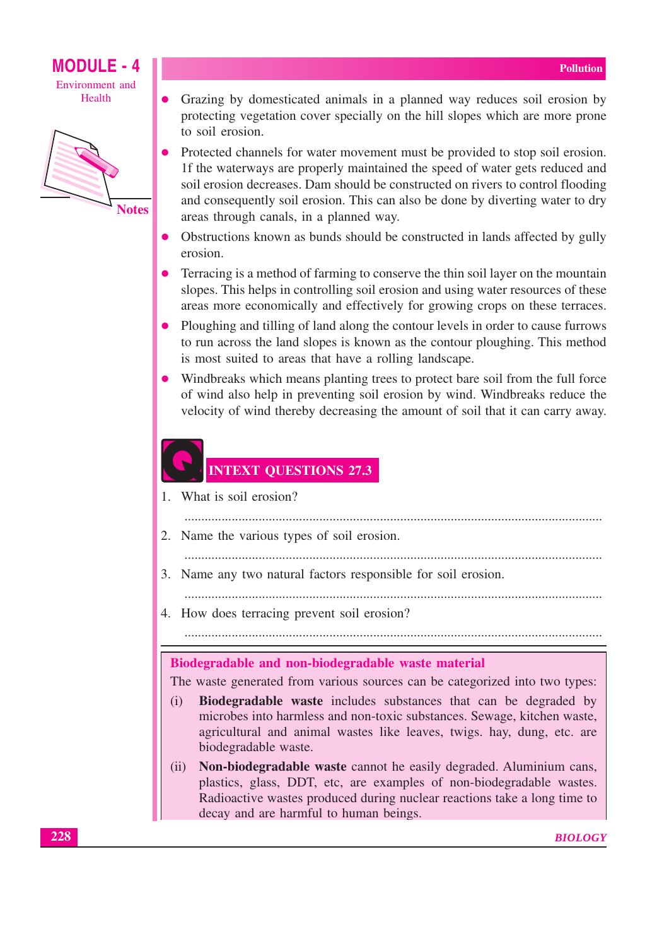

- Grazing by domesticated animals in a planned way reduces soil erosion by protecting vegetation cover specially on the hill slopes which are more prone to soil erosion.
- Protected channels for water movement must be provided to stop soil erosion. If the waterways are properly maintained the speed of water gets reduced and soil erosion decreases. Dam should be constructed on rivers to control flooding and consequently soil erosion. This can also be done by diverting water to dry areas through canals, in a planned way.
- Obstructions known as bunds should be constructed in lands affected by gully erosion.
- Terracing is a method of farming to conserve the thin soil layer on the mountain slopes. This helps in controlling soil erosion and using water resources of these areas more economically and effectively for growing crops on these terraces.
- Ploughing and tilling of land along the contour levels in order to cause furrows to run across the land slopes is known as the contour ploughing. This method is most suited to areas that have a rolling landscape.
- Windbreaks which means planting trees to protect bare soil from the full force of wind also help in preventing soil erosion by wind. Windbreaks reduce the velocity of wind thereby decreasing the amount of soil that it can carry away.

### **INTEXT QUESTIONS 27.3**

- 1. What is soil erosion?
	-
- 2. Name the various types of soil erosion.
	-
- 3. Name any two natural factors responsible for soil erosion.
	-
- 4. How does terracing prevent soil erosion?

### Biodegradable and non-biodegradable waste material

The waste generated from various sources can be categorized into two types:

- Biodegradable waste includes substances that can be degraded by  $(i)$ microbes into harmless and non-toxic substances. Sewage, kitchen waste, agricultural and animal wastes like leaves, twigs. hay, dung, etc. are biodegradable waste.
- Non-biodegradable waste cannot he easily degraded. Aluminium cans,  $(ii)$ plastics, glass, DDT, etc, are examples of non-biodegradable wastes. Radioactive wastes produced during nuclear reactions take a long time to decay and are harmful to human beings.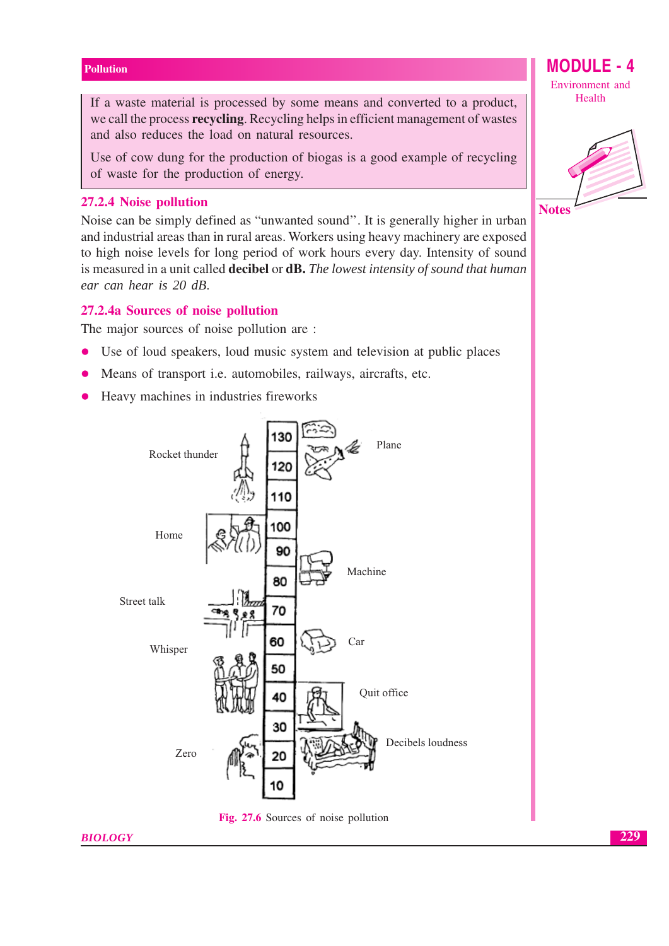If a waste material is processed by some means and converted to a product, we call the process **recycling**. Recycling helps in efficient management of wastes and also reduces the load on natural resources.

Use of cow dung for the production of biogas is a good example of recycling of waste for the production of energy.

### 27.2.4 Noise pollution

Noise can be simply defined as "unwanted sound". It is generally higher in urban and industrial areas than in rural areas. Workers using heavy machinery are exposed to high noise levels for long period of work hours every day. Intensity of sound is measured in a unit called **decibel** or **dB.** The lowest intensity of sound that human ear can hear is 20 dB.

### 27.2.4a Sources of noise pollution

The major sources of noise pollution are :

- Use of loud speakers, loud music system and television at public places  $\bullet$
- Means of transport *i.e.* automobiles, railways, aircrafts, etc.  $\bullet$
- Heavy machines in industries fireworks  $\bullet$



Fig. 27.6 Sources of noise pollution

### **BIOLOGY**

Environment and Health

**MODULE - 4** 



**Notes** 

229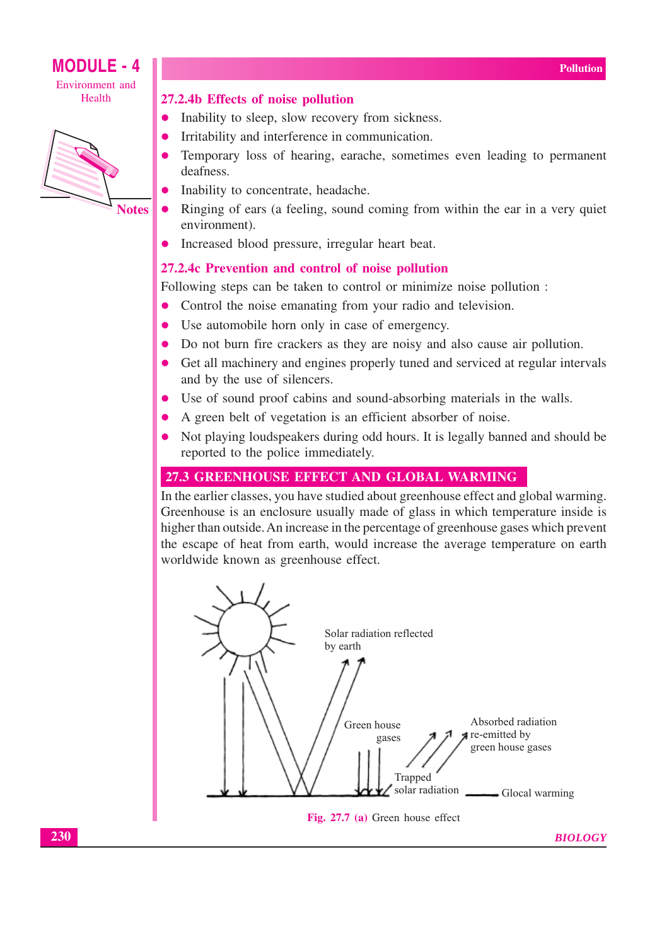

### **MODULE - 4** Environment and

Health



**Notes** 

### 27.2.4b Effects of noise pollution

- $\bullet$ Inability to sleep, slow recovery from sickness.
- Irritability and interference in communication.
- Temporary loss of hearing, earache, sometimes even leading to permanent deafness
- Inability to concentrate, headache.
- Ringing of ears (a feeling, sound coming from within the ear in a very quiet environment).
- Increased blood pressure, irregular heart beat.

### 27.2.4c Prevention and control of noise pollution

Following steps can be taken to control or minimize noise pollution :

- Control the noise emanating from your radio and television.
- Use automobile horn only in case of emergency.  $\bullet$
- Do not burn fire crackers as they are noisy and also cause air pollution.
- Get all machinery and engines properly tuned and serviced at regular intervals  $\bullet$ and by the use of silencers.
- Use of sound proof cabins and sound-absorbing materials in the walls.  $\bullet$
- A green belt of vegetation is an efficient absorber of noise.
- Not playing loudspeakers during odd hours. It is legally banned and should be reported to the police immediately.

### 27.3 GREENHOUSE EFFECT AND GLOBAL WARMING

In the earlier classes, you have studied about greenhouse effect and global warming. Greenhouse is an enclosure usually made of glass in which temperature inside is higher than outside. An increase in the percentage of greenhouse gases which prevent the escape of heat from earth, would increase the average temperature on earth worldwide known as greenhouse effect.



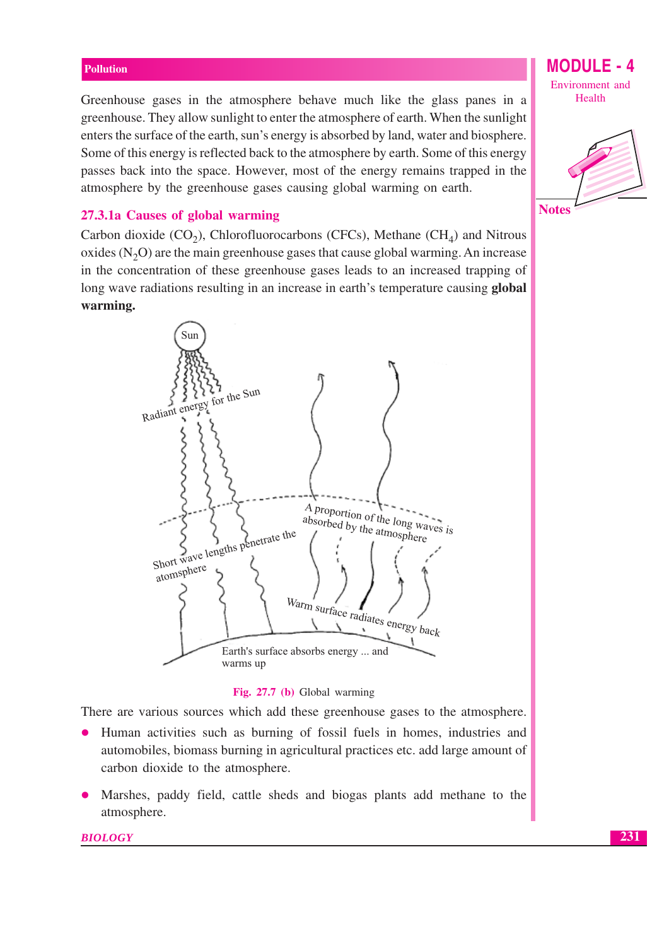Greenhouse gases in the atmosphere behave much like the glass panes in a greenhouse. They allow sunlight to enter the atmosphere of earth. When the sunlight enters the surface of the earth, sun's energy is absorbed by land, water and biosphere. Some of this energy is reflected back to the atmosphere by earth. Some of this energy passes back into the space. However, most of the energy remains trapped in the atmosphere by the greenhouse gases causing global warming on earth.

### 27.3.1a Causes of global warming

Carbon dioxide  $(CO_2)$ , Chlorofluorocarbons (CFCs), Methane (CH<sub>4</sub>) and Nitrous oxides  $(N_2O)$  are the main greenhouse gases that cause global warming. An increase in the concentration of these greenhouse gases leads to an increased trapping of long wave radiations resulting in an increase in earth's temperature causing global warming.



#### Fig. 27.7 (b) Global warming

There are various sources which add these greenhouse gases to the atmosphere.

- Human activities such as burning of fossil fuels in homes, industries and  $\bullet$ automobiles, biomass burning in agricultural practices etc. add large amount of carbon dioxide to the atmosphere.
- Marshes, paddy field, cattle sheds and biogas plants add methane to the atmosphere.

**MODULE - 4** Environment and Health

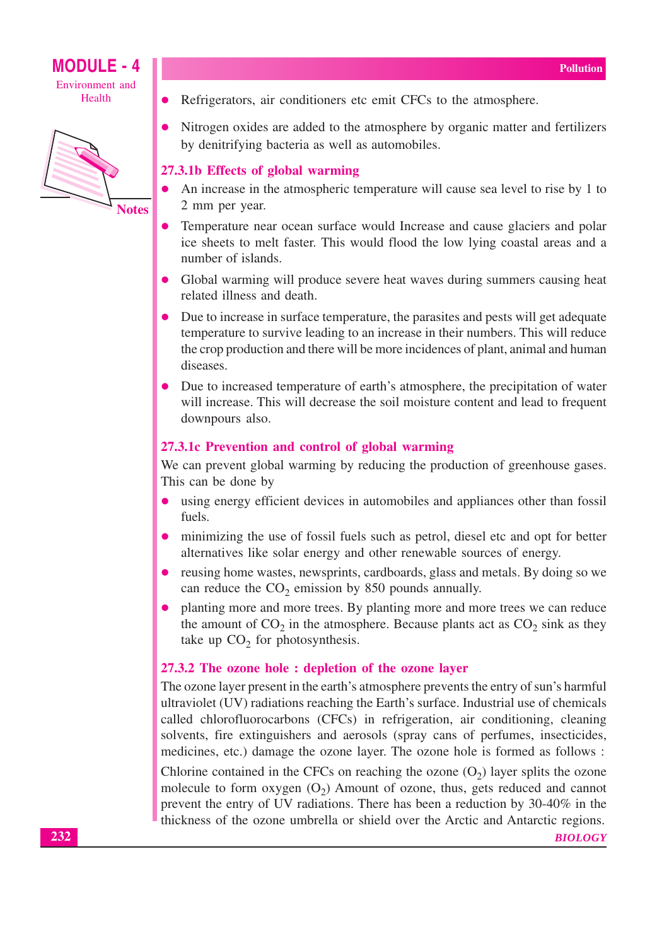



- Refrigerators, air conditioners etc emit CFCs to the atmosphere.
- Nitrogen oxides are added to the atmosphere by organic matter and fertilizers by denitrifying bacteria as well as automobiles.

### 27.3.1b Effects of global warming

- An increase in the atmospheric temperature will cause sea level to rise by 1 to 2 mm per year.
- Temperature near ocean surface would Increase and cause glaciers and polar ice sheets to melt faster. This would flood the low lying coastal areas and a number of islands.
- Global warming will produce severe heat waves during summers causing heat related illness and death.
- Due to increase in surface temperature, the parasites and pests will get adequate temperature to survive leading to an increase in their numbers. This will reduce the crop production and there will be more incidences of plant, animal and human diseases.
- Due to increased temperature of earth's atmosphere, the precipitation of water will increase. This will decrease the soil moisture content and lead to frequent downpours also.

### 27.3.1c Prevention and control of global warming

We can prevent global warming by reducing the production of greenhouse gases. This can be done by

- $\bullet$ using energy efficient devices in automobiles and appliances other than fossil fuels.
- minimizing the use of fossil fuels such as petrol, diesel etc and opt for better alternatives like solar energy and other renewable sources of energy.
- reusing home wastes, newsprints, cardboards, glass and metals. By doing so we can reduce the  $CO_2$  emission by 850 pounds annually.
- planting more and more trees. By planting more and more trees we can reduce the amount of  $CO_2$  in the atmosphere. Because plants act as  $CO_2$  sink as they take up  $CO<sub>2</sub>$  for photosynthesis.

### 27.3.2 The ozone hole : depletion of the ozone layer

The ozone layer present in the earth's atmosphere prevents the entry of sun's harmful ultraviolet (UV) radiations reaching the Earth's surface. Industrial use of chemicals called chlorofluorocarbons (CFCs) in refrigeration, air conditioning, cleaning solvents, fire extinguishers and aerosols (spray cans of perfumes, insecticides, medicines, etc.) damage the ozone layer. The ozone hole is formed as follows: Chlorine contained in the CFCs on reaching the ozone  $(O_2)$  layer splits the ozone

molecule to form oxygen  $(O_2)$  Amount of ozone, thus, gets reduced and cannot prevent the entry of UV radiations. There has been a reduction by 30-40% in the thickness of the ozone umbrella or shield over the Arctic and Antarctic regions.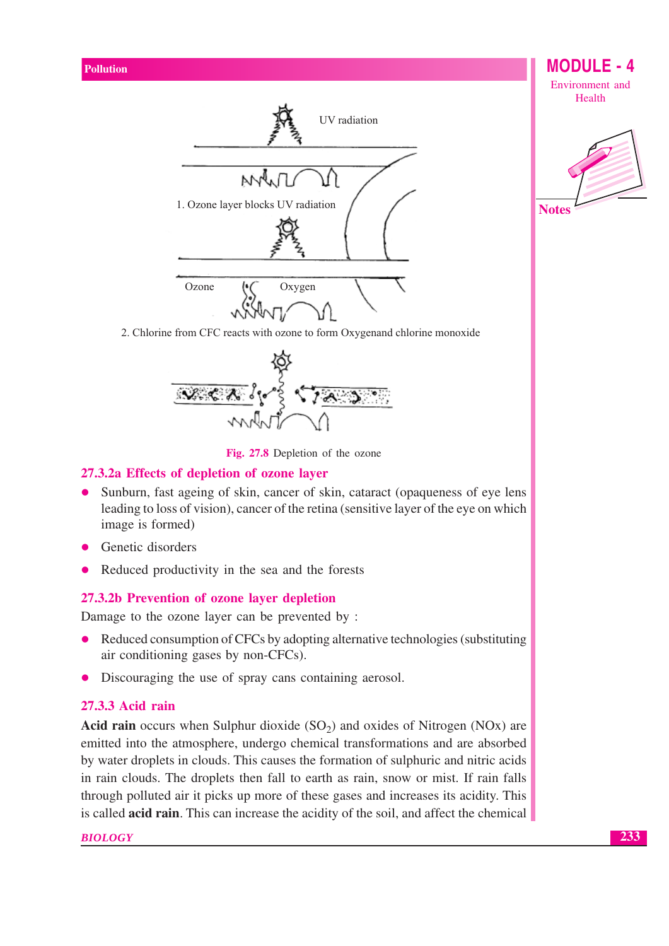



2. Chlorine from CFC reacts with ozone to form Oxygenand chlorine monoxide



Fig. 27.8 Depletion of the ozone

### 27.3.2a Effects of depletion of ozone laver

- Sunburn, fast ageing of skin, cancer of skin, cataract (opaqueness of eye lens  $\bullet$ leading to loss of vision), cancer of the retina (sensitive layer of the eye on which image is formed)
- Genetic disorders
- Reduced productivity in the sea and the forests

### 27.3.2b Prevention of ozone laver depletion

Damage to the ozone layer can be prevented by:

- Reduced consumption of CFCs by adopting alternative technologies (substituting  $\bullet$ air conditioning gases by non-CFCs).
- Discouraging the use of spray cans containing aerosol.  $\bullet$

### 27.3.3 Acid rain

**Acid rain** occurs when Sulphur dioxide  $(SO<sub>2</sub>)$  and oxides of Nitrogen  $(NOx)$  are emitted into the atmosphere, undergo chemical transformations and are absorbed by water droplets in clouds. This causes the formation of sulphuric and nitric acids in rain clouds. The droplets then fall to earth as rain, snow or mist. If rain falls through polluted air it picks up more of these gases and increases its acidity. This is called **acid rain**. This can increase the acidity of the soil, and affect the chemical

**BIOLOGY**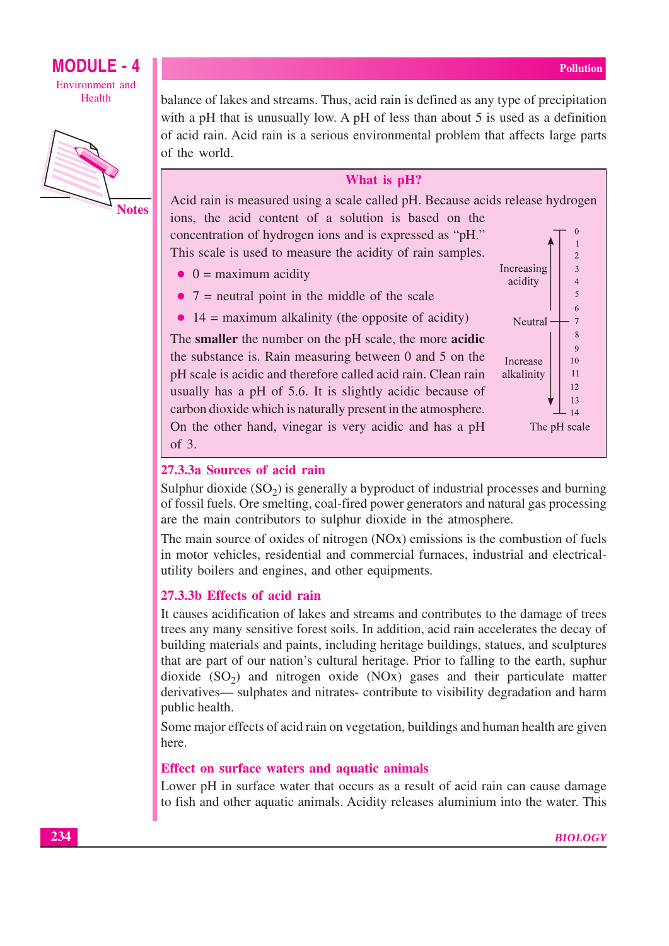

**Notes** 

balance of lakes and streams. Thus, acid rain is defined as any type of precipitation with a pH that is unusually low. A pH of less than about 5 is used as a definition of acid rain. Acid rain is a serious environmental problem that affects large parts of the world.

### What is pH?

Acid rain is measured using a scale called pH. Because acids release hydrogen ions, the acid content of a solution is based on the  $\Omega$ concentration of hydrogen ions and is expressed as "pH."  $\mathbf{1}$ This scale is used to measure the acidity of rain samples.  $\overline{2}$ 

- $\bullet$  0 = maximum acidity
- $7$  = neutral point in the middle of the scale
- $\bullet$  14 = maximum alkalinity (the opposite of acidity)

The smaller the number on the pH scale, the more acidic the substance is. Rain measuring between 0 and 5 on the pH scale is acidic and therefore called acid rain. Clean rain usually has a pH of 5.6. It is slightly acidic because of carbon dioxide which is naturally present in the atmosphere. On the other hand, vinegar is very acidic and has a pH of 3.



### 27.3.3a Sources of acid rain

Sulphur dioxide  $(SO<sub>2</sub>)$  is generally a byproduct of industrial processes and burning of fossil fuels. Ore smelting, coal-fired power generators and natural gas processing are the main contributors to sulphur dioxide in the atmosphere.

The main source of oxides of nitrogen (NOx) emissions is the combustion of fuels in motor vehicles, residential and commercial furnaces, industrial and electricalutility boilers and engines, and other equipments.

### 27.3.3b Effects of acid rain

It causes acidification of lakes and streams and contributes to the damage of trees trees any many sensitive forest soils. In addition, acid rain accelerates the decay of building materials and paints, including heritage buildings, statues, and sculptures that are part of our nation's cultural heritage. Prior to falling to the earth, suphur dioxide  $(SO<sub>2</sub>)$  and nitrogen oxide  $(NOx)$  gases and their particulate matter derivatives— sulphates and nitrates- contribute to visibility degradation and harm public health.

Some major effects of acid rain on vegetation, buildings and human health are given here.

### Effect on surface waters and aquatic animals

Lower pH in surface water that occurs as a result of acid rain can cause damage to fish and other aquatic animals. Acidity releases aluminium into the water. This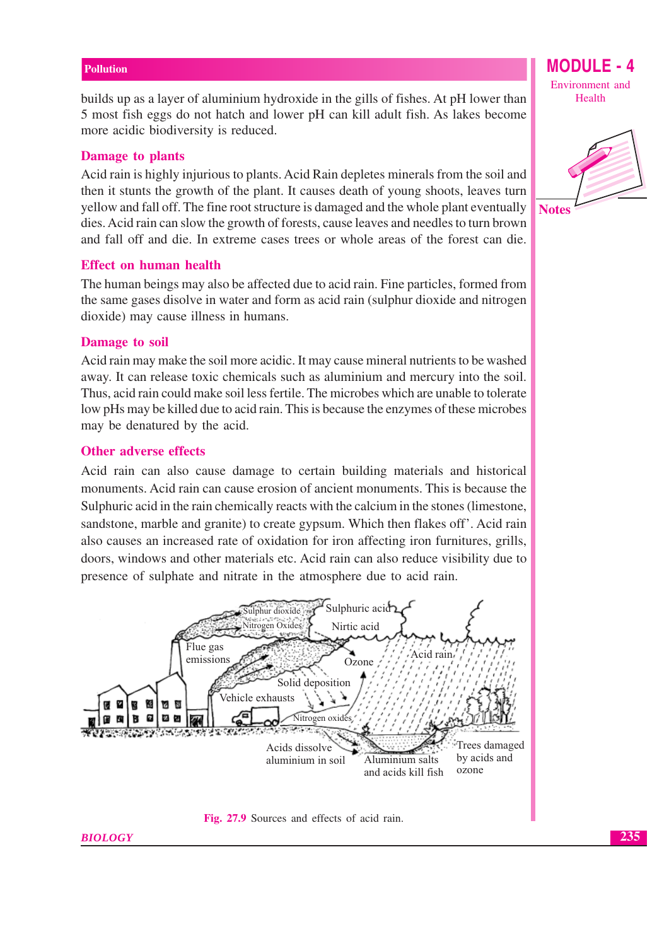builds up as a layer of aluminium hydroxide in the gills of fishes. At pH lower than 5 most fish eggs do not hatch and lower pH can kill adult fish. As lakes become more acidic biodiversity is reduced.

### **Damage to plants**

Acid rain is highly injurious to plants. Acid Rain depletes minerals from the soil and then it stunts the growth of the plant. It causes death of young shoots, leaves turn yellow and fall off. The fine root structure is damaged and the whole plant eventually dies. Acid rain can slow the growth of forests, cause leaves and needles to turn brown and fall off and die. In extreme cases trees or whole areas of the forest can die.

### **Effect on human health**

The human beings may also be affected due to acid rain. Fine particles, formed from the same gases disolve in water and form as acid rain (sulphur dioxide and nitrogen dioxide) may cause illness in humans.

### **Damage to soil**

Acid rain may make the soil more acidic. It may cause mineral nutrients to be washed away. It can release toxic chemicals such as aluminium and mercury into the soil. Thus, acid rain could make soil less fertile. The microbes which are unable to tolerate low pHs may be killed due to acid rain. This is because the enzymes of these microbes may be denatured by the acid.

### Other adverse effects

Acid rain can also cause damage to certain building materials and historical monuments. Acid rain can cause erosion of ancient monuments. This is because the Sulphuric acid in the rain chemically reacts with the calcium in the stones (limestone, sandstone, marble and granite) to create gypsum. Which then flakes off'. Acid rain also causes an increased rate of oxidation for iron affecting iron furnitures, grills, doors, windows and other materials etc. Acid rain can also reduce visibility due to presence of sulphate and nitrate in the atmosphere due to acid rain.





Environment and Health

**MODULE - 4** 

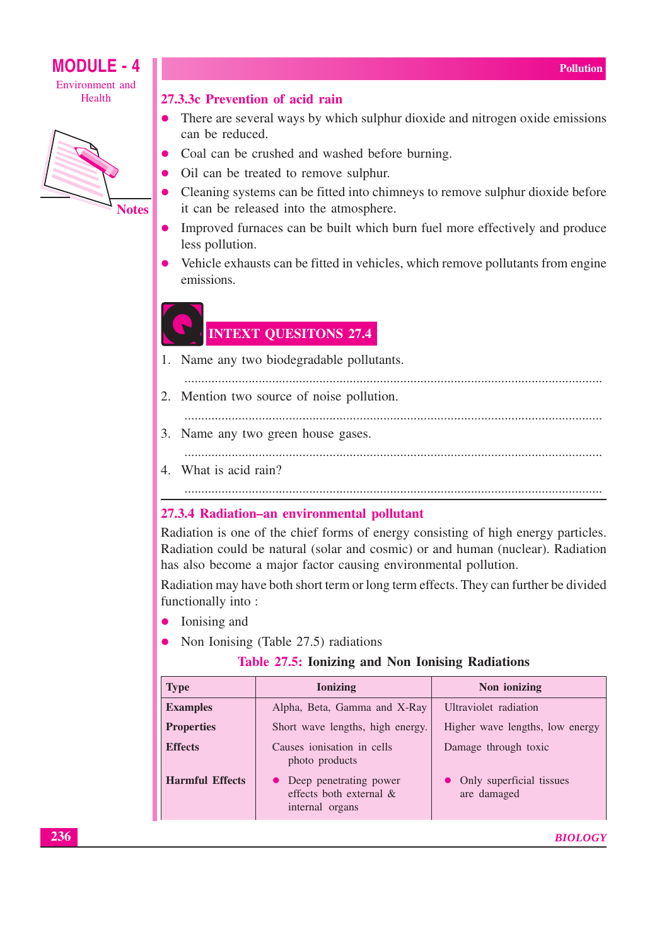

### 27.3.3c Prevention of acid rain

- There are several ways by which sulphur dioxide and nitrogen oxide emissions  $\bullet$ can be reduced.
- Coal can be crushed and washed before burning.
- Oil can be treated to remove sulphur.
- Cleaning systems can be fitted into chimneys to remove sulphur dioxide before it can be released into the atmosphere.
- Improved furnaces can be built which burn fuel more effectively and produce less pollution.
- Vehicle exhausts can be fitted in vehicles, which remove pollutants from engine emissions.

### **INTEXT QUESITONS 27.4**

- 1. Name any two biodegradable pollutants.
- 2. Mention two source of noise pollution.
	-
- 3. Name any two green house gases.
	-

4. What is acid rain?

### 27.3.4 Radiation-an environmental pollutant

Radiation is one of the chief forms of energy consisting of high energy particles. Radiation could be natural (solar and cosmic) or and human (nuclear). Radiation has also become a major factor causing environmental pollution.

Radiation may have both short term or long term effects. They can further be divided functionally into:

- $\bullet$  Ionising and
- Non Ionising (Table 27.5) radiations  $\bullet$

### Table 27.5: Ionizing and Non Ionising Radiations

| <b>Type</b>            | <b>Ionizing</b>                                                        | Non ionizing                            |  |
|------------------------|------------------------------------------------------------------------|-----------------------------------------|--|
| <b>Examples</b>        | Alpha, Beta, Gamma and X-Ray                                           | Ultraviolet radiation                   |  |
| <b>Properties</b>      | Short wave lengths, high energy.                                       | Higher wave lengths, low energy         |  |
| <b>Effects</b>         | Causes ionisation in cells<br>photo products                           | Damage through toxic                    |  |
| <b>Harmful Effects</b> | • Deep penetrating power<br>effects both external &<br>internal organs | Only superficial tissues<br>are damaged |  |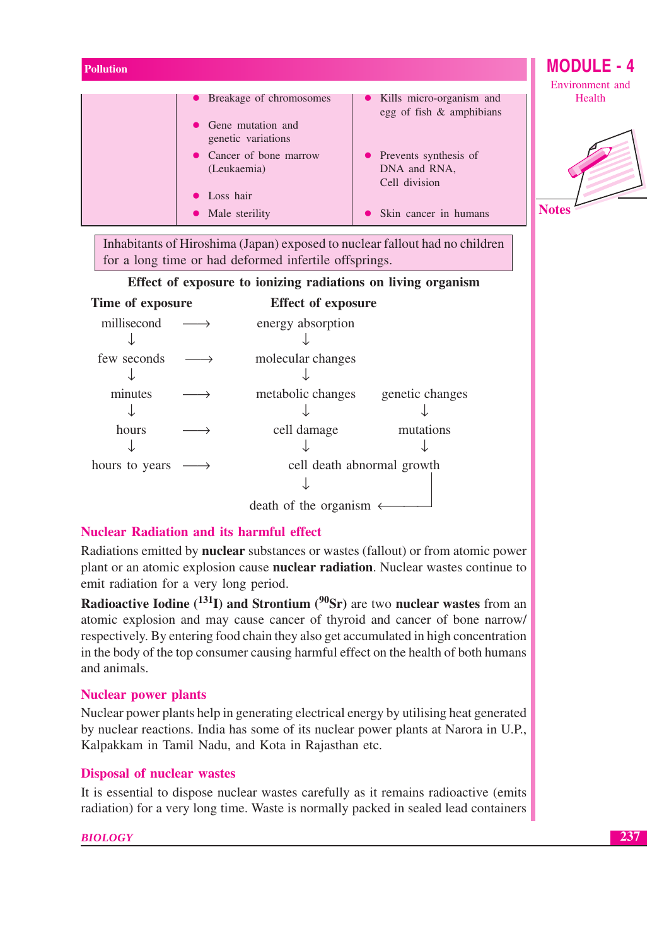| <b>Pollution</b> |                                                              |                                                          | <b>MODULE - 4</b> |
|------------------|--------------------------------------------------------------|----------------------------------------------------------|-------------------|
|                  |                                                              |                                                          | Environment and   |
|                  | • Breakage of chromosomes<br>• Gene mutation and             | • Kills micro-organism and<br>egg of fish & amphibians   | Health            |
|                  | genetic variations<br>• Cancer of bone marrow<br>(Leukaemia) | • Prevents synthesis of<br>DNA and RNA,<br>Cell division |                   |
|                  | • Loss hair<br>• Male sterility                              | Skin cancer in humans                                    | <b>Notes</b>      |

Inhabitants of Hiroshima (Japan) exposed to nuclear fallout had no children for a long time or had deformed infertile offsprings.

|  |  | Effect of exposure to ionizing radiations on living organism |  |  |
|--|--|--------------------------------------------------------------|--|--|
|  |  |                                                              |  |  |
|  |  |                                                              |  |  |

| Time of exposure | <b>Effect of exposure</b>  |                 |
|------------------|----------------------------|-----------------|
| millisecond      | energy absorption          |                 |
|                  |                            |                 |
| few seconds      | molecular changes          |                 |
|                  |                            |                 |
| minutes          | metabolic changes          | genetic changes |
|                  |                            |                 |
| hours            | cell damage                | mutations       |
|                  |                            |                 |
| hours to years   | cell death abnormal growth |                 |
|                  |                            |                 |
|                  | death of the organism      |                 |

### **Nuclear Radiation and its harmful effect**

Radiations emitted by **nuclear** substances or wastes (fallout) or from atomic power plant or an atomic explosion cause **nuclear radiation**. Nuclear wastes continue to emit radiation for a very long period.

Radioactive Iodine ( $^{131}$ I) and Strontium ( $^{90}$ Sr) are two nuclear wastes from an atomic explosion and may cause cancer of thyroid and cancer of bone narrow/ respectively. By entering food chain they also get accumulated in high concentration in the body of the top consumer causing harmful effect on the health of both humans and animals.

### **Nuclear power plants**

Nuclear power plants help in generating electrical energy by utilising heat generated by nuclear reactions. India has some of its nuclear power plants at Narora in U.P., Kalpakkam in Tamil Nadu, and Kota in Rajasthan etc.

### **Disposal of nuclear wastes**

It is essential to dispose nuclear wastes carefully as it remains radioactive (emits radiation) for a very long time. Waste is normally packed in sealed lead containers

### **BIOLOGY**

Δ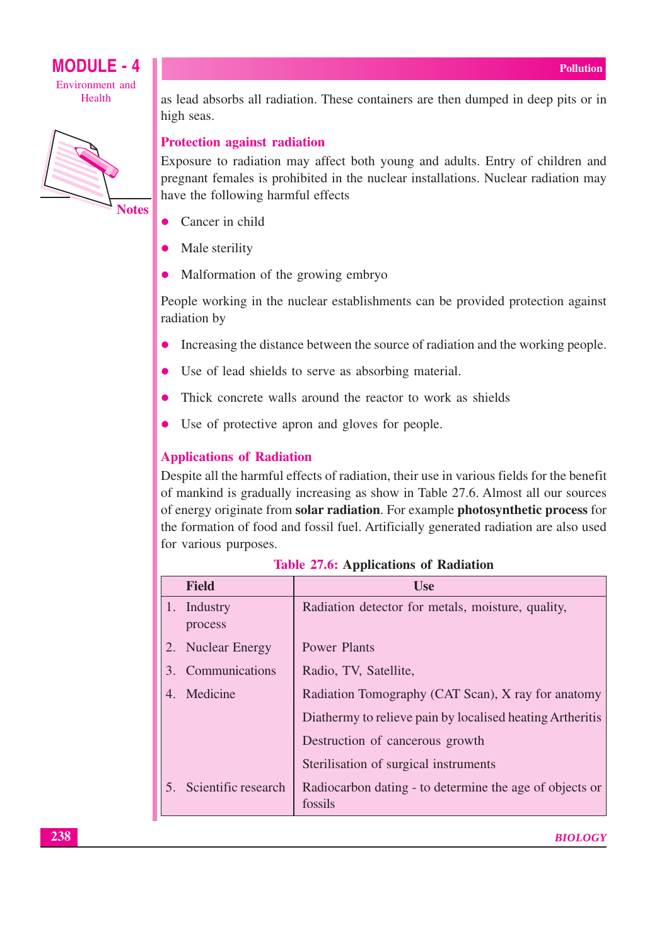

**Notes** 

as lead absorbs all radiation. These containers are then dumped in deep pits or in high seas.

### **Protection against radiation**

Exposure to radiation may affect both young and adults. Entry of children and pregnant females is prohibited in the nuclear installations. Nuclear radiation may have the following harmful effects

- Cancer in child  $\bullet$
- Male sterility
- Malformation of the growing embryo  $\bullet$

People working in the nuclear establishments can be provided protection against radiation by

- Increasing the distance between the source of radiation and the working people.  $\bullet$
- Use of lead shields to serve as absorbing material.
- Thick concrete walls around the reactor to work as shields
- Use of protective apron and gloves for people.  $\bullet$

### **Applications of Radiation**

Despite all the harmful effects of radiation, their use in various fields for the benefit of mankind is gradually increasing as show in Table 27.6. Almost all our sources of energy originate from solar radiation. For example photosynthetic process for the formation of food and fossil fuel. Artificially generated radiation are also used for various purposes.

|    | <b>Field</b>           | Use                                                                |
|----|------------------------|--------------------------------------------------------------------|
|    | 1. Industry<br>process | Radiation detector for metals, moisture, quality,                  |
|    | 2. Nuclear Energy      | Power Plants                                                       |
| 3. | Communications         | Radio, TV, Satellite,                                              |
|    | 4. Medicine            | Radiation Tomography (CAT Scan), X ray for anatomy                 |
|    |                        | Diathermy to relieve pain by localised heating Artheritis          |
|    |                        | Destruction of cancerous growth                                    |
|    |                        | Sterilisation of surgical instruments                              |
|    | 5. Scientific research | Radiocarbon dating - to determine the age of objects or<br>fossils |

**Table 27.6: Applications of Radiation**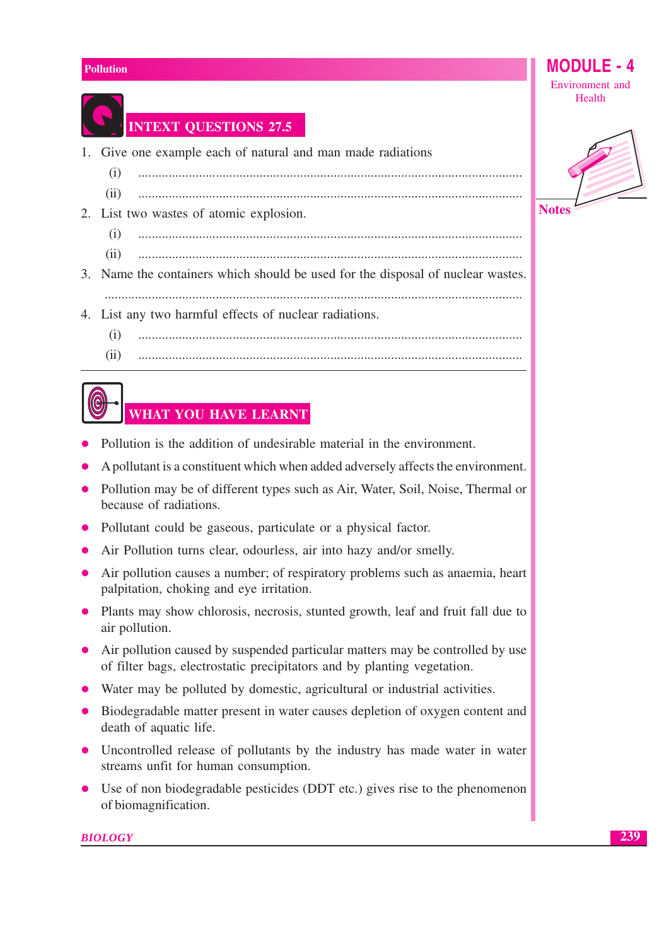

**INTEXT QUESTIONS 27.5** 

- 1. Give one example each of natural and man made radiations
	- $(i)$
	- $(ii)$
- 2. List two wastes of atomic explosion.
	- $(i)$
	- $(ii)$
- 3. Name the containers which should be used for the disposal of nuclear wastes.
- 4. List any two harmful effects of nuclear radiations.
	- $(i)$
	- $(iii)$

## **WHAT YOU HAVE LEARNT**

- Pollution is the addition of undesirable material in the environment.
- A pollutant is a constituent which when added adversely affects the environment.
- Pollution may be of different types such as Air, Water, Soil, Noise, Thermal or because of radiations.
- Pollutant could be gaseous, particulate or a physical factor.
- Air Pollution turns clear, odourless, air into hazy and/or smelly.
- Air pollution causes a number; of respiratory problems such as anaemia, heart palpitation, choking and eye irritation.
- Plants may show chlorosis, necrosis, stunted growth, leaf and fruit fall due to air pollution.
- Air pollution caused by suspended particular matters may be controlled by use of filter bags, electrostatic precipitators and by planting vegetation.
- Water may be polluted by domestic, agricultural or industrial activities.
- Biodegradable matter present in water causes depletion of oxygen content and death of aquatic life.
- Uncontrolled release of pollutants by the industry has made water in water streams unfit for human consumption.
- Use of non biodegradable pesticides (DDT etc.) gives rise to the phenomenon of biomagnification.

**BIOLOGY** 

Environment and Health

MODUI F

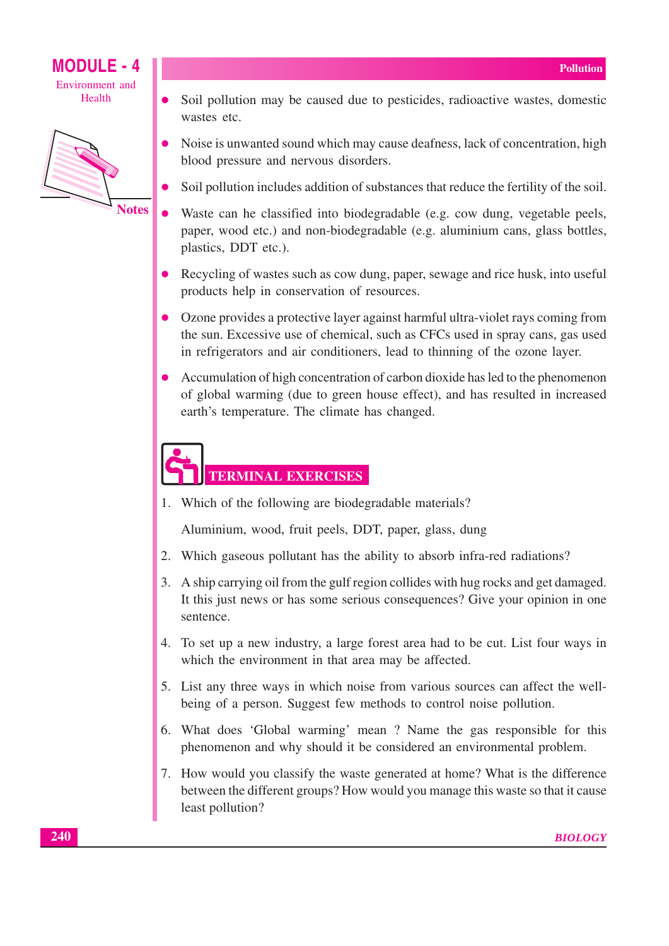

- Soil pollution may be caused due to pesticides, radioactive wastes, domestic wastes etc.
- Noise is unwanted sound which may cause deafness, lack of concentration, high blood pressure and nervous disorders.
- Soil pollution includes addition of substances that reduce the fertility of the soil.
- Waste can he classified into biodegradable (e.g. cow dung, vegetable peels, paper, wood etc.) and non-biodegradable (e.g. aluminium cans, glass bottles, plastics, DDT etc.).
- Recycling of wastes such as cow dung, paper, sewage and rice husk, into useful products help in conservation of resources.
- Ozone provides a protective layer against harmful ultra-violet rays coming from the sun. Excessive use of chemical, such as CFCs used in spray cans, gas used in refrigerators and air conditioners, lead to thinning of the ozone layer.
- Accumulation of high concentration of carbon dioxide has led to the phenomenon of global warming (due to green house effect), and has resulted in increased earth's temperature. The climate has changed.

# **TERMINAL EXERCISES**

1. Which of the following are biodegradable materials?

Aluminium, wood, fruit peels, DDT, paper, glass, dung

- 2. Which gaseous pollutant has the ability to absorb infra-red radiations?
- 3. A ship carrying oil from the gulf region collides with hug rocks and get damaged. It this just news or has some serious consequences? Give your opinion in one sentence.
- 4. To set up a new industry, a large forest area had to be cut. List four ways in which the environment in that area may be affected.
- 5. List any three ways in which noise from various sources can affect the wellbeing of a person. Suggest few methods to control noise pollution.
- 6. What does 'Global warming' mean? Name the gas responsible for this phenomenon and why should it be considered an environmental problem.
- 7. How would you classify the waste generated at home? What is the difference between the different groups? How would you manage this waste so that it cause least pollution?